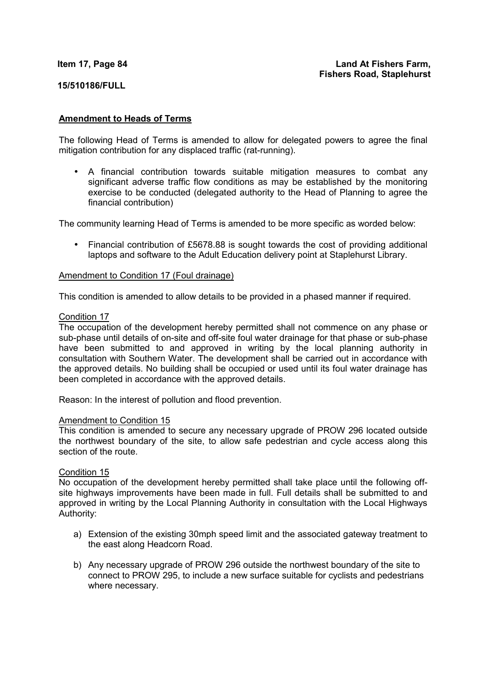#### **Item 17, Page 84**

## **Land At Fishers Farm, Fishers Road, Staplehurst**

## **15/510186/FULL**

## **Amendment to Heads of Terms**

The following Head of Terms is amended to allow for delegated powers to agree the final mitigation contribution for any displaced traffic (rat-running).

• A financial contribution towards suitable mitigation measures to combat any significant adverse traffic flow conditions as may be established by the monitoring exercise to be conducted (delegated authority to the Head of Planning to agree the financial contribution)

The community learning Head of Terms is amended to be more specific as worded below:

• Financial contribution of £5678.88 is sought towards the cost of providing additional laptops and software to the Adult Education delivery point at Staplehurst Library.

## Amendment to Condition 17 (Foul drainage)

This condition is amended to allow details to be provided in a phased manner if required.

#### Condition 17

The occupation of the development hereby permitted shall not commence on any phase or sub-phase until details of on-site and off-site foul water drainage for that phase or sub-phase have been submitted to and approved in writing by the local planning authority in consultation with Southern Water. The development shall be carried out in accordance with the approved details. No building shall be occupied or used until its foul water drainage has been completed in accordance with the approved details.

Reason: In the interest of pollution and flood prevention.

## Amendment to Condition 15

This condition is amended to secure any necessary upgrade of PROW 296 located outside the northwest boundary of the site, to allow safe pedestrian and cycle access along this section of the route.

#### Condition 15

No occupation of the development hereby permitted shall take place until the following offsite highways improvements have been made in full. Full details shall be submitted to and approved in writing by the Local Planning Authority in consultation with the Local Highways Authority:

- a) Extension of the existing 30mph speed limit and the associated gateway treatment to the east along Headcorn Road.
- b) Any necessary upgrade of PROW 296 outside the northwest boundary of the site to connect to PROW 295, to include a new surface suitable for cyclists and pedestrians where necessary.